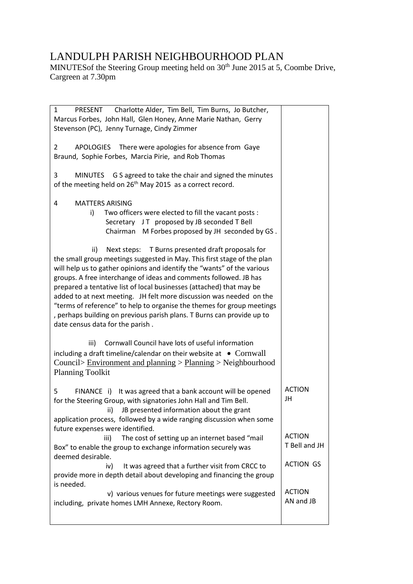## LANDULPH PARISH NEIGHBOURHOOD PLAN

MINUTES of the Steering Group meeting held on 30<sup>th</sup> June 2015 at 5, Coombe Drive, Cargreen at 7.30pm

| $\mathbf{1}$<br>PRESENT Charlotte Alder, Tim Bell, Tim Burns, Jo Butcher,<br>Marcus Forbes, John Hall, Glen Honey, Anne Marie Nathan, Gerry<br>Stevenson (PC), Jenny Turnage, Cindy Zimmer                                                                                                                                                                                                                                                                                                                                                                                                                                    |                     |
|-------------------------------------------------------------------------------------------------------------------------------------------------------------------------------------------------------------------------------------------------------------------------------------------------------------------------------------------------------------------------------------------------------------------------------------------------------------------------------------------------------------------------------------------------------------------------------------------------------------------------------|---------------------|
| APOLOGIES There were apologies for absence from Gaye<br>$\mathbf{2}$<br>Braund, Sophie Forbes, Marcia Pirie, and Rob Thomas                                                                                                                                                                                                                                                                                                                                                                                                                                                                                                   |                     |
| G S agreed to take the chair and signed the minutes<br>3<br><b>MINUTES</b><br>of the meeting held on 26 <sup>th</sup> May 2015 as a correct record.                                                                                                                                                                                                                                                                                                                                                                                                                                                                           |                     |
| <b>MATTERS ARISING</b><br>4                                                                                                                                                                                                                                                                                                                                                                                                                                                                                                                                                                                                   |                     |
| Two officers were elected to fill the vacant posts :<br>i)<br>Secretary JT proposed by JB seconded T Bell<br>Chairman M Forbes proposed by JH seconded by GS.                                                                                                                                                                                                                                                                                                                                                                                                                                                                 |                     |
| T Burns presented draft proposals for<br>ii)<br>Next steps:<br>the small group meetings suggested in May. This first stage of the plan<br>will help us to gather opinions and identify the "wants" of the various<br>groups. A free interchange of ideas and comments followed. JB has<br>prepared a tentative list of local businesses (attached) that may be<br>added to at next meeting. JH felt more discussion was needed on the<br>"terms of reference" to help to organise the themes for group meetings<br>, perhaps building on previous parish plans. T Burns can provide up to<br>date census data for the parish. |                     |
| Cornwall Council have lots of useful information<br>iii)                                                                                                                                                                                                                                                                                                                                                                                                                                                                                                                                                                      |                     |
| including a draft timeline/calendar on their website at $\bullet$ Cornwall                                                                                                                                                                                                                                                                                                                                                                                                                                                                                                                                                    |                     |
| Council> Environment and planning > Planning > Neighbourhood<br><b>Planning Toolkit</b>                                                                                                                                                                                                                                                                                                                                                                                                                                                                                                                                       |                     |
| 5<br>It was agreed that a bank account will be opened<br>FINANCE i)<br>for the Steering Group, with signatories John Hall and Tim Bell.<br>JB presented information about the grant<br>ii)<br>application process, followed by a wide ranging discussion when some<br>future expenses were identified.                                                                                                                                                                                                                                                                                                                        | <b>ACTION</b><br>JH |
| The cost of setting up an internet based "mail<br>iii)                                                                                                                                                                                                                                                                                                                                                                                                                                                                                                                                                                        | <b>ACTION</b>       |
| Box" to enable the group to exchange information securely was                                                                                                                                                                                                                                                                                                                                                                                                                                                                                                                                                                 | T Bell and JH       |
| deemed desirable.                                                                                                                                                                                                                                                                                                                                                                                                                                                                                                                                                                                                             |                     |
| It was agreed that a further visit from CRCC to<br>iv)                                                                                                                                                                                                                                                                                                                                                                                                                                                                                                                                                                        | <b>ACTION GS</b>    |
| provide more in depth detail about developing and financing the group<br>is needed.                                                                                                                                                                                                                                                                                                                                                                                                                                                                                                                                           |                     |
| v) various venues for future meetings were suggested                                                                                                                                                                                                                                                                                                                                                                                                                                                                                                                                                                          | <b>ACTION</b>       |
| including, private homes LMH Annexe, Rectory Room.                                                                                                                                                                                                                                                                                                                                                                                                                                                                                                                                                                            | AN and JB           |
|                                                                                                                                                                                                                                                                                                                                                                                                                                                                                                                                                                                                                               |                     |